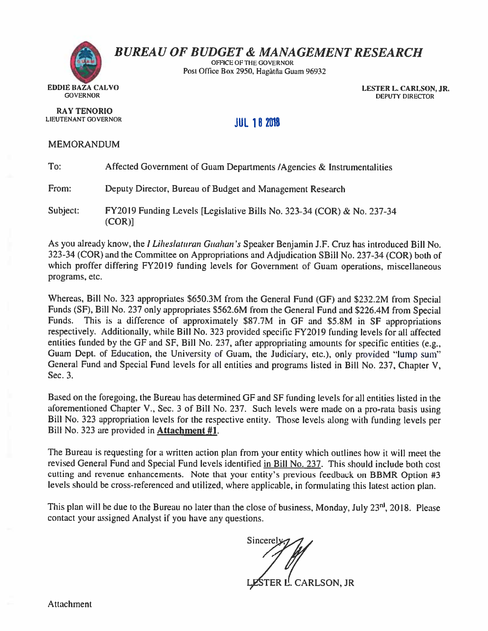

# **BUREAU OF BUDGET & MANAGEMENT RESEARCH**

OFFICE OF THE GOVERNOR Post Office Box 2950, Hagåtña Guam 96932

> LESTER L. CARLSON, JR. **DEPUTY DIRECTOR**

**JUL 18 2018** 

### **MEMORANDUM**

**RAY TENORIO** LIEUTENANT GOVERNOR

| To:      | Affected Government of Guam Departments / Agencies & Instrumentalities           |
|----------|----------------------------------------------------------------------------------|
| From:    | Deputy Director, Bureau of Budget and Management Research                        |
| Subject: | FY2019 Funding Levels [Legislative Bills No. 323-34 (COR) & No. 237-34<br>(COR)] |

As you already know, the *I Liheslaturan Guahan's* Speaker Benjamin J.F. Cruz has introduced Bill No. 323-34 (COR) and the Committee on Appropriations and Adjudication SBill No. 237-34 (COR) both of which proffer differing FY2019 funding levels for Government of Guam operations, miscellaneous programs, etc.

Whereas, Bill No. 323 appropriates \$650.3M from the General Fund (GF) and \$232.2M from Special Funds (SF), Bill No. 237 only appropriates \$562.6M from the General Fund and \$226.4M from Special This is a difference of approximately \$87.7M in GF and \$5.8M in SF appropriations Funds. respectively. Additionally, while Bill No. 323 provided specific FY2019 funding levels for all affected entities funded by the GF and SF, Bill No. 237, after appropriating amounts for specific entities (e.g., Guam Dept. of Education, the University of Guam, the Judiciary, etc.), only provided "lump sum" General Fund and Special Fund levels for all entities and programs listed in Bill No. 237, Chapter V, Sec. 3.

Based on the foregoing, the Bureau has determined GF and SF funding levels for all entities listed in the aforementioned Chapter V., Sec. 3 of Bill No. 237. Such levels were made on a pro-rata basis using Bill No. 323 appropriation levels for the respective entity. Those levels along with funding levels per Bill No. 323 are provided in Attachment #1.

The Bureau is requesting for a written action plan from your entity which outlines how it will meet the revised General Fund and Special Fund levels identified in Bill No. 237. This should include both cost cutting and revenue enhancements. Note that your entity's previous feedback on BBMR Option #3 levels should be cross-referenced and utilized, where applicable, in formulating this latest action plan.

This plan will be due to the Bureau no later than the close of business, Monday, July 23<sup>rd</sup>, 2018. Please contact your assigned Analyst if you have any questions.

Sincerely STER L. CARLSON, JR

**Attachment**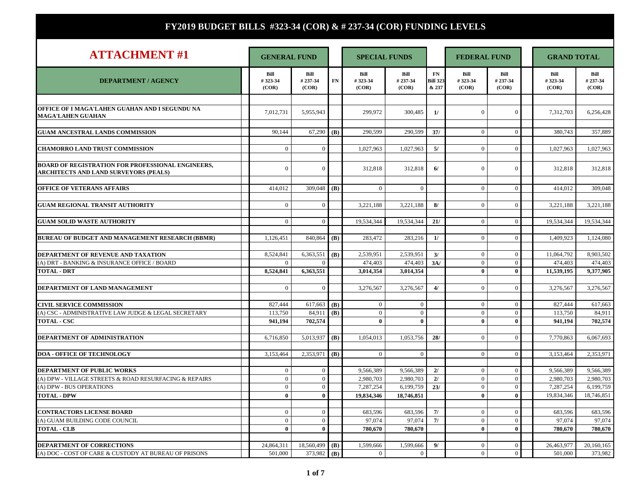| <b>ATTACHMENT#1</b>                                                                                      |                                | <b>GENERAL FUND</b>        |            | <b>SPECIAL FUNDS</b>     |                          |                                | <b>FEDERAL FUND</b>        |                              |  | <b>GRAND TOTAL</b>       |                          |  |
|----------------------------------------------------------------------------------------------------------|--------------------------------|----------------------------|------------|--------------------------|--------------------------|--------------------------------|----------------------------|------------------------------|--|--------------------------|--------------------------|--|
| <b>DEPARTMENT / AGENCY</b>                                                                               | Bill<br>#323-34<br>(COR)       | Bill<br>#237-34<br>(COR)   | FN         | Bill<br>#323-34<br>(COR) | Bill<br>#237-34<br>(COR) | FN<br><b>Bill 323</b><br>& 237 | Bill<br>#323-34<br>(COR)   | Bill<br>#237-34<br>(COR)     |  | Bill<br>#323-34<br>(COR) | Bill<br>#237-34<br>(COR) |  |
|                                                                                                          |                                |                            |            |                          |                          |                                |                            |                              |  |                          |                          |  |
| OFFICE OF I MAGA'LAHEN GUAHAN AND I SEGUNDU NA<br><b>MAGA'LAHEN GUAHAN</b>                               | 7,012,731                      | 5,955,943                  |            | 299,972                  | 300,485                  | 1/                             | $\mathbf{0}$               | $\overline{0}$               |  | 7,312,703                | 6,256,428                |  |
| <b>GUAM ANCESTRAL LANDS COMMISSION</b>                                                                   | 90,144                         | 67,290 (B)                 |            | 290,599                  | 290,599                  | 37/                            | $\mathbf{0}$               | $\overline{0}$               |  | 380,743                  | 357,889                  |  |
| <b>CHAMORRO LAND TRUST COMMISSION</b>                                                                    | $\overline{0}$                 | $\overline{0}$             |            | 1,027,963                | 1,027,963                | 5/                             | $\overline{0}$             | $\mathbf{0}$                 |  | 1,027,963                | 1,027,963                |  |
| <b>BOARD OF REGISTRATION FOR PROFESSIONAL ENGINEERS,</b><br><b>ARCHITECTS AND LAND SURVEYORS (PEALS)</b> | $\overline{0}$                 | $\boldsymbol{0}$           |            | 312,818                  | 312,818                  | 6/                             | $\mathbf{0}$               | $\mathbf{0}$                 |  | 312,818                  | 312,818                  |  |
| <b>OFFICE OF VETERANS AFFAIRS</b>                                                                        | 414,012                        | 309,048 ( <b>B</b> )       |            | $\Omega$                 | $\overline{0}$           |                                | $\Omega$                   | $\overline{0}$               |  | 414.012                  | 309,048                  |  |
| <b>GUAM REGIONAL TRANSIT AUTHORITY</b>                                                                   | $\overline{0}$                 | $\overline{0}$             |            | 3,221,188                | 3,221,188                | 8/                             | $\overline{0}$             | $\overline{0}$               |  | 3,221,188                | 3,221,188                |  |
| <b>GUAM SOLID WASTE AUTHORITY</b>                                                                        | $\Omega$                       | $\theta$                   |            | 19,534,344               | 19,534,344               | 21/                            | $\Omega$                   | $\mathbf{0}$                 |  | 19.534.344               | 19.534.344               |  |
| <b>BUREAU OF BUDGET AND MANAGEMENT RESEARCH (BBMR)</b>                                                   | 1,126,451                      | 840,864 ( <b>B</b> )       |            | 283,472                  | 283,216                  | 1/                             | $\overline{0}$             | $\overline{0}$               |  | 1,409,923                | 1,124,080                |  |
| DEPARTMENT OF REVENUE AND TAXATION                                                                       | 8,524,841                      | 6,363,551 ( <b>B</b> )     |            | 2,539,951                | 2,539,951                | 3/                             | $\mathbf{0}$               | $\mathbf{0}$                 |  | 11,064,792               | 8,903,502                |  |
| (A) DRT - BANKING & INSURANCE OFFICE / BOARD                                                             | $\overline{0}$                 | $\overline{0}$             |            | 474,403                  | 474,403                  | 3A/                            | $\overline{0}$             | $\mathbf{0}$                 |  | 474,403                  | 474,403                  |  |
| <b>TOTAL - DRT</b>                                                                                       | 8,524,841                      | 6,363,551                  |            | 3,014,354                | 3,014,354                |                                | $\mathbf{0}$               | $\bf{0}$                     |  | 11,539,195               | 9,377,905                |  |
| DEPARTMENT OF LAND MANAGEMENT                                                                            | $\overline{0}$                 | $\overline{0}$             |            | 3,276,567                | 3,276,567                | 4/                             | $\Omega$                   | $\overline{0}$               |  | 3,276,567                | 3,276,567                |  |
| <b>CIVIL SERVICE COMMISSION</b>                                                                          | 827,444                        | 617,663 ( <b>B</b> )       |            | $\mathbf{0}$             | $\overline{0}$           |                                | $\overline{0}$             | $\mathbf{0}$                 |  | 827,444                  | 617,663                  |  |
| (A) CSC - ADMINISTRATIVE LAW JUDGE & LEGAL SECRETARY                                                     | 113,750                        | 84,911                     | (B)        | $\mathbf{0}$             | $\overline{0}$           |                                | $\overline{0}$             | $\mathbf{0}$                 |  | 113,750                  | 84,911                   |  |
| <b>TOTAL - CSC</b>                                                                                       | 941,194                        | 702,574                    |            | $\bf{0}$                 | $\mathbf{0}$             |                                | $\bf{0}$                   | $\bf{0}$                     |  | 941,194                  | 702,574                  |  |
| DEPARTMENT OF ADMINISTRATION                                                                             | 6,716,850                      | 5,013,937 (B)              |            | 1,054,013                | 1,053,756                | 28/                            | $\Omega$                   | $\overline{0}$               |  | 7,770,863                | 6,067,693                |  |
|                                                                                                          |                                |                            |            |                          |                          |                                |                            |                              |  |                          |                          |  |
| <b>DOA - OFFICE OF TECHNOLOGY</b>                                                                        | 3,153,464                      | $2,353,971$ (B)            |            | $\mathbf{0}$             | $\overline{0}$           |                                | $\overline{0}$             | $\overline{0}$               |  | 3,153,464                | 2,353,971                |  |
|                                                                                                          |                                |                            |            |                          |                          |                                |                            |                              |  |                          |                          |  |
| DEPARTMENT OF PUBLIC WORKS                                                                               | $\mathbf{0}$                   | $\Omega$                   |            | 9,566,389                | 9,566,389                | 2/                             | $\theta$                   | $\mathbf{0}$                 |  | 9,566,389                | 9,566,389                |  |
| (A) DPW - VILLAGE STREETS & ROAD RESURFACING & REPAIRS                                                   | $\overline{0}$<br>$\mathbf{0}$ | $\overline{0}$<br>$\Omega$ |            | 2,980,703                | 2,980,703                | 2l                             | $\Omega$<br>$\overline{0}$ | $\mathbf{0}$<br>$\mathbf{0}$ |  | 2.980.703                | 2,980,703                |  |
| (A) DPW - BUS OPERATIONS                                                                                 | $\bf{0}$                       | $\mathbf{0}$               |            | 7,287,254<br>19,834,346  | 6,199,759                | 23/                            | $\mathbf{0}$               | $\mathbf{0}$                 |  | 7,287,254<br>19,834,346  | 6,199,759<br>18,746,851  |  |
| <b>TOTAL - DPW</b>                                                                                       |                                |                            |            |                          | 18,746,851               |                                |                            |                              |  |                          |                          |  |
| <b>CONTRACTORS LICENSE BOARD</b>                                                                         | $\overline{0}$                 | $\overline{0}$             |            | 683,596                  | 683,596                  | 7/                             | $\Omega$                   | $\mathbf{0}$                 |  | 683,596                  | 683,596                  |  |
| (A) GUAM BUILDING CODE COUNCIL                                                                           | $\mathbf{0}$                   | $\mathbf{0}$               |            | 97,074                   | 97,074                   | 7/                             | $\overline{0}$             | $\overline{0}$               |  | 97,074                   | 97,074                   |  |
| <b>TOTAL - CLB</b>                                                                                       | $\mathbf{0}$                   | $\mathbf{0}$               |            | 780,670                  | 780,670                  |                                | $\mathbf{0}$               | $\mathbf{0}$                 |  | 780,670                  | 780,670                  |  |
|                                                                                                          |                                |                            |            |                          |                          |                                |                            |                              |  |                          |                          |  |
| DEPARTMENT OF CORRECTIONS                                                                                | 24.864.311                     | 18,560,499                 | (B)        | 1,599,666                | 1,599,666                | 9/                             | $\Omega$                   | $\overline{0}$               |  | 26,463,977               | 20,160,165               |  |
| (A) DOC - COST OF CARE & CUSTODY AT BUREAU OF PRISONS                                                    | 501.000                        | 373,982                    | <b>(B)</b> | $\overline{0}$           | $\overline{0}$           |                                | $\Omega$                   | $\mathbf{0}$                 |  | 501,000                  | 373,982                  |  |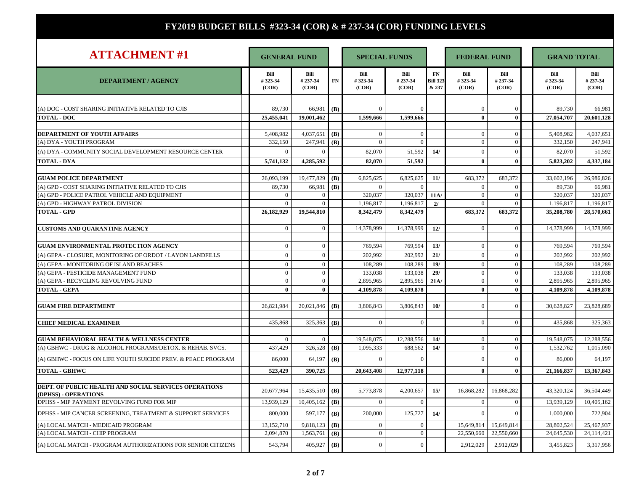| <b>ATTACHMENT#1</b>                                                           | <b>GENERAL FUND</b>      |                         |            | <b>SPECIAL FUNDS</b>     |                         |                                | <b>FEDERAL FUND</b>      |                          | <b>GRAND TOTAL</b>       |                          |
|-------------------------------------------------------------------------------|--------------------------|-------------------------|------------|--------------------------|-------------------------|--------------------------------|--------------------------|--------------------------|--------------------------|--------------------------|
| <b>DEPARTMENT / AGENCY</b>                                                    | Bill<br>#323-34<br>(COR) | Bill<br>#23734<br>(COR) | ${\bf FN}$ | Bill<br>#323-34<br>(COR) | Bill<br>#23734<br>(COR) | FN<br><b>Bill 323</b><br>& 237 | Bill<br>#323-34<br>(COR) | Bill<br>#237-34<br>(COR) | Bill<br>#323-34<br>(COR) | Bill<br>#237-34<br>(COR) |
|                                                                               |                          |                         |            |                          |                         |                                |                          |                          |                          |                          |
| (A) DOC - COST SHARING INITIATIVE RELATED TO CJIS                             | 89,730                   | 66,981                  | (B)        | $\mathbf{0}$             | $\mathbf{0}$            |                                | $\mathbf{0}$             | $\mathbf{0}$             | 89,730                   | 66,981                   |
| <b>TOTAL - DOC</b>                                                            | 25,455,041               | 19,001,462              |            | 1,599,666                | 1,599,666               |                                | $\mathbf{0}$             | $\mathbf{0}$             | 27,054,707               | 20,601,128               |
| DEPARTMENT OF YOUTH AFFAIRS                                                   | 5,408,982                | 4,037,651               | (B)        | $\mathbf{0}$             | $\mathbf{0}$            |                                | $\theta$                 | $\mathbf{0}$             | 5,408,982                | 4,037,651                |
| (A) DYA - YOUTH PROGRAM                                                       | 332,150                  | 247,941                 | <b>(B)</b> | $\mathbf{0}$             | $\overline{0}$          |                                | $\overline{0}$           | $\overline{0}$           | 332,150                  | 247,941                  |
| (A) DYA - COMMUNITY SOCIAL DEVELOPMENT RESOURCE CENTER                        | $\Omega$                 | $\Omega$                |            | 82,070                   | 51,592                  | 14/                            | $\Omega$                 | $\overline{0}$           | 82.070                   | 51,592                   |
| <b>TOTAL - DYA</b>                                                            | 5,741,132                | 4,285,592               |            | 82,070                   | 51,592                  |                                | $\mathbf{0}$             | $\mathbf{0}$             | 5,823,202                | 4.337.184                |
|                                                                               |                          |                         |            |                          |                         |                                |                          |                          |                          |                          |
| <b>GUAM POLICE DEPARTMENT</b>                                                 | 26.093.199               | 19.477.829              | (B)        | 6.825.625                | 6.825.625               | 11/                            | 683.372                  | 683,372                  | 33,602,196               | 26,986,826               |
| (A) GPD - COST SHARING INITIATIVE RELATED TO CJIS                             | 89,730                   | 66,981                  | (B)        | $\Omega$                 | $\Omega$                |                                | $\Omega$                 | $\overline{0}$           | 89,730                   | 66,981                   |
| (A) GPD - POLICE PATROL VEHICLE AND EQUIPMENT                                 | $\overline{0}$           | $\overline{0}$          |            | 320,037                  | 320,037                 | 11A/                           | $\overline{0}$           | $\mathbf{0}$             | 320,037                  | 320,037                  |
| (A) GPD - HIGHWAY PATROL DIVISION                                             | $\theta$                 | $\overline{0}$          |            | 1,196,817                | 1,196,817               | 2l                             | $\theta$                 | $\theta$                 | 1,196,817                | 1,196,817                |
| <b>TOTAL - GPD</b>                                                            | 26,182,929               | 19,544,810              |            | 8,342,479                | 8,342,479               |                                | 683,372                  | 683,372                  | 35,208,780               | 28,570,661               |
|                                                                               | $\overline{0}$           | $\Omega$                |            |                          |                         | 12/                            | $\theta$                 | $\overline{0}$           |                          | 14,378,999               |
| <b>CUSTOMS AND QUARANTINE AGENCY</b>                                          |                          |                         |            | 14,378,999               | 14,378,999              |                                |                          |                          | 14,378,999               |                          |
| <b>GUAM ENVIRONMENTAL PROTECTION AGENCY</b>                                   | $\overline{0}$           | $\Omega$                |            | 769,594                  | 769,594                 | 13/                            | $\Omega$                 | $\theta$                 | 769,594                  | 769,594                  |
| (A) GEPA - CLOSURE. MONITORING OF ORDOT / LAYON LANDFILLS                     | $\overline{0}$           | $\theta$                |            | 202.992                  | 202.992                 | 21/                            | $\theta$                 | $\theta$                 | 202,992                  | 202.992                  |
| (A) GEPA - MONITORING OF ISLAND BEACHES                                       | $\overline{0}$           | $\overline{0}$          |            | 108.289                  | 108.289                 | 19/                            | $\theta$                 | $\mathbf{0}$             | 108,289                  | 108,289                  |
| (A) GEPA - PESTICIDE MANAGEMENT FUND                                          | $\overline{0}$           | $\overline{0}$          |            | 133,038                  | 133,038                 | 29/                            | $\Omega$                 | $\mathbf{0}$             | 133,038                  | 133.038                  |
| (A) GEPA - RECYCLING REVOLVING FUND                                           | $\mathbf{0}$             | $\Omega$                |            | 2,895,965                | 2,895,965               | 21A/                           | $\Omega$                 | $\theta$                 | 2,895,965                | 2,895,965                |
| <b>TOTAL - GEPA</b>                                                           | $\mathbf{0}$             | $\mathbf{0}$            |            | 4,109,878                | 4,109,878               |                                | $\theta$                 | $\mathbf{0}$             | 4,109,878                | 4.109.878                |
|                                                                               |                          |                         |            |                          |                         |                                |                          |                          |                          |                          |
| <b>GUAM FIRE DEPARTMENT</b>                                                   | 26.821.984               | $20,021,846$ (B)        |            | 3,806,843                | 3,806,843               | 10/                            | $\Omega$                 | $\theta$                 | 30,628,827               | 23,828,689               |
|                                                                               |                          |                         |            |                          |                         |                                |                          |                          |                          |                          |
| <b>CHIEF MEDICAL EXAMINER</b>                                                 | 435,868                  | $325,363$ (B)           |            | $\theta$                 | $\theta$                |                                | $\Omega$                 | $\theta$                 | 435,868                  | 325,363                  |
| <b>GUAM BEHAVIORAL HEALTH &amp; WELLNESS CENTER</b>                           | $\overline{0}$           | $\Omega$                |            | 19,548,075               | 12,288,556              | 14/                            | $\theta$                 | $\theta$                 | 19,548,075               | 12,288,556               |
| (A) GBHWC - DRUG & ALCOHOL PROGRAMS/DETOX. & REHAB. SVCS.                     | 437,429                  | 326,528                 | (B)        | 1,095,333                | 688,562                 | 14/                            | $\overline{0}$           | $\mathbf{0}$             | 1,532,762                | 1,015,090                |
| (A) GBHWC - FOCUS ON LIFE YOUTH SUICIDE PREV. & PEACE PROGRAM                 | 86,000                   | 64,197                  | (B)        | $\overline{0}$           | $\Omega$                |                                | $\Omega$                 | $\mathbf{0}$             | 86,000                   | 64,197                   |
| <b>TOTAL - GBHWC</b>                                                          | 523,429                  | 390,725                 |            | 20,643,408               | 12,977,118              |                                | $\mathbf{0}$             | $\mathbf{0}$             | 21,166,837               | 13,367,843               |
|                                                                               |                          |                         |            |                          |                         |                                |                          |                          |                          |                          |
| DEPT. OF PUBLIC HEALTH AND SOCIAL SERVICES OPERATIONS<br>(DPHSS) - OPERATIONS | 20.677.964               | 15.435.510              | (B)        | 5,773,878                | 4.200.657               | 15/                            | 16,868,282               | 16,868,282               | 43,320,124               | 36,504,449               |
| DPHSS - MIP PAYMENT REVOLVING FUND FOR MIP                                    | 13.939.129               | 10,405,162              | (B)        | $\overline{0}$           | $\Omega$                |                                | $\Omega$                 | $\mathbf{0}$             | 13,939,129               | 10.405.162               |
| DPHSS - MIP CANCER SCREENING, TREATMENT & SUPPORT SERVICES                    | 800,000                  | 597,177                 | (B)        | 200,000                  | 125,727                 | 14/                            | $\Omega$                 | $\Omega$                 | 1,000,000                | 722,904                  |
| (A) LOCAL MATCH - MEDICAID PROGRAM                                            | 13,152,710               | 9,818,123               | (B)        | $\overline{0}$           | $\overline{0}$          |                                | 15,649,814               | 15,649,814               | 28,802,524               | 25,467,937               |
| (A) LOCAL MATCH - CHIP PROGRAM                                                | 2,094,870                | 1,563,761               | (B)        | $\overline{0}$           | $\mathbf{0}$            |                                | 22,550,660               | 22,550,660               | 24,645,530               | 24,114,421               |
| (A) LOCAL MATCH - PROGRAM AUTHORIZATIONS FOR SENIOR CITIZENS                  | 543,794                  | 405,927                 | (B)        | $\mathbf{0}$             | $\overline{0}$          |                                | 2,912,029                | 2,912,029                | 3,455,823                | 3,317,956                |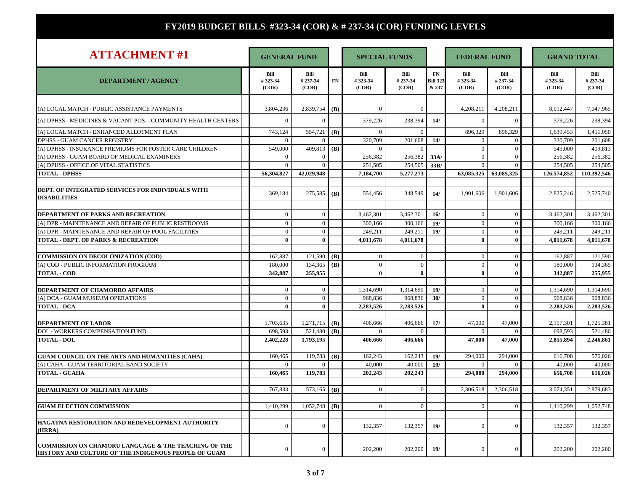| <b>ATTACHMENT#1</b>                                                                                                     | <b>GENERAL FUND</b>      |                          |     | <b>SPECIAL FUNDS</b>     |                          | <b>FEDERAL FUND</b>            |                          |                          | <b>GRAND TOTAL</b> |                          |                          |
|-------------------------------------------------------------------------------------------------------------------------|--------------------------|--------------------------|-----|--------------------------|--------------------------|--------------------------------|--------------------------|--------------------------|--------------------|--------------------------|--------------------------|
| <b>DEPARTMENT / AGENCY</b>                                                                                              | Bill<br>#323-34<br>(COR) | Bill<br>#237-34<br>(COR) | FN  | Bill<br>#323-34<br>(COR) | Bill<br>#237-34<br>(COR) | FN<br><b>Bill 323</b><br>& 237 | Bill<br>#323-34<br>(COR) | Bill<br>#237-34<br>(COR) |                    | Bill<br>#323-34<br>(COR) | Bill<br>#237-34<br>(COR) |
|                                                                                                                         |                          |                          |     |                          | $\Omega$                 |                                |                          |                          |                    |                          |                          |
| (A) LOCAL MATCH - PUBLIC ASSISTANCE PAYMENTS                                                                            | 3,804,236                | 2,839,754 (B)            |     | $\mathbf{0}$             |                          |                                | 4,208,211                | 4,208,211                |                    | 8,012,447                | 7,047,965                |
| (A) DPHSS - MEDICINES & VACANT POS. - COMMUNITY HEALTH CENTERS                                                          | $\overline{0}$           | $\Omega$                 |     | 379,226                  | 238,394                  | 14/                            | $\theta$                 | $\mathbf{0}$             |                    | 379,226                  | 238,394                  |
| (A) LOCAL MATCH - ENHANCED ALLOTMENT PLAN                                                                               | 743,124                  | 554,721 (B)              |     | $\mathbf{0}$             | $\overline{0}$           |                                | 896,329                  | 896,329                  |                    | 1,639,453                | 1,451,050                |
| DPHSS - GUAM CANCER REGISTRY                                                                                            | $\overline{0}$           | $\Omega$                 |     | 320,709                  | 201,608                  | 14/                            | $\Omega$                 | $\Omega$                 |                    | 320,709                  | 201,608                  |
| (A) DPHSS - INSURANCE PREMIUMS FOR FOSTER CARE CHILDREN                                                                 | 549,000                  | 409,813 (B)              |     | $\Omega$                 | $\Omega$                 |                                | $\Omega$                 | $\mathbf{0}$             |                    | 549,000                  | 409,813                  |
| (A) DPHSS - GUAM BOARD OF MEDICAL EXAMINERS                                                                             | $\overline{0}$           | $\overline{0}$           |     | 256.382                  | 256,382                  | 33A/                           | $\theta$                 | $\Omega$                 |                    | 256,382                  | 256,382                  |
| (A) DPHSS - OFFICE OF VITAL STATISTICS                                                                                  | $\overline{0}$           | $\overline{0}$           |     | 254,505                  | 254,505                  | 33B/                           | $\overline{0}$           | $\mathbf{0}$             |                    | 254,505                  | 254,505                  |
| <b>TOTAL - DPHSS</b>                                                                                                    | 56,304,827               | 42,029,948               |     | 7,184,700                | 5,277,273                |                                | 63,085,325               | 63,085,325               |                    | 126,574,852              | 110,392,546              |
|                                                                                                                         |                          |                          |     |                          |                          |                                |                          |                          |                    |                          |                          |
| DEPT. OF INTEGRATED SERVICES FOR INDIVIDUALS WITH<br><b>DISABILITIES</b>                                                | 369,184                  | $275,585$ (B)            |     | 554,456                  | 348,549                  | 14/                            | 1,901,606                | 1,901,606                |                    | 2,825,246                | 2,525,740                |
|                                                                                                                         |                          |                          |     |                          |                          |                                |                          |                          |                    |                          |                          |
| DEPARTMENT OF PARKS AND RECREATION                                                                                      | $\overline{0}$           | $\mathbf{0}$             |     | 3,462,301                | 3,462,301                | 16/                            | $\overline{0}$           | $\mathbf{0}$             |                    | 3,462,301                | 3,462,301                |
| (A) DPR - MAINTENANCE AND REPAIR OF PUBLIC RESTROOMS                                                                    | $\mathbf{0}$             | $\mathbf{0}$             |     | 300,166                  | 300,166                  | 19/                            | $\theta$                 | $\mathbf{0}$             |                    | 300,166                  | 300,166                  |
| (A) DPR - MAINTENANCE AND REPAIR OF POOL FACILITIES                                                                     | $\overline{0}$           | $\Omega$                 |     | 249,211                  | 249,211                  | 19/                            | $\overline{0}$           | $\mathbf{0}$             |                    | 249,211                  | 249,211                  |
| <b>TOTAL - DEPT. OF PARKS &amp; RECREATION</b>                                                                          | $\bf{0}$                 | $\mathbf{0}$             |     | 4,011,678                | 4,011,678                |                                | $\mathbf{0}$             | $\bf{0}$                 |                    | 4,011,678                | 4,011,678                |
|                                                                                                                         |                          |                          |     |                          |                          |                                |                          |                          |                    |                          |                          |
| <b>COMMISSION ON DECOLONIZATION (COD)</b>                                                                               | 162,887                  | 121,590 (B)              |     | $\mathbf{0}$             | $\mathbf{0}$             |                                | $\theta$                 | $\Omega$                 |                    | 162,887                  | 121,590                  |
| (A) COD - PUBLIC INFORMATION PROGRAM                                                                                    | 180,000                  | 134,365                  | (B) | $\mathbf{0}$             | $\mathbf{0}$             |                                | $\Omega$                 | $\mathbf{0}$             |                    | 180,000                  | 134,365                  |
| <b>TOTAL - COD</b>                                                                                                      | 342,887                  | 255,955                  |     | $\bf{0}$                 | $\mathbf{0}$             |                                | $\mathbf{0}$             | $\mathbf{0}$             |                    | 342,887                  | 255,955                  |
|                                                                                                                         |                          |                          |     |                          |                          |                                |                          |                          |                    |                          |                          |
| DEPARTMENT OF CHAMORRO AFFAIRS                                                                                          | $\mathbf{0}$             | $\overline{0}$           |     | 1,314,690                | 1,314,690                | 19/                            | $\overline{0}$           | $\mathbf{0}$             |                    | 1,314,690                | 1,314,690                |
| (A) DCA - GUAM MUSEUM OPERATIONS                                                                                        | $\overline{0}$           | $\Omega$                 |     | 968,836                  | 968,836                  | 30/                            | $\Omega$                 | $\mathbf{0}$             |                    | 968,836                  | 968,836                  |
| <b>TOTAL - DCA</b>                                                                                                      | $\mathbf{0}$             | $\mathbf{0}$             |     | 2.283.526                | 2,283,526                |                                | $\mathbf{0}$             | $\mathbf{0}$             |                    | 2.283.526                | 2.283.526                |
|                                                                                                                         |                          |                          |     |                          |                          |                                |                          |                          |                    |                          |                          |
| <b>DEPARTMENT OF LABOR</b>                                                                                              | 1,703,635                | $1,271,715$ (B)          |     | 406,666                  | 406,666                  | 17/                            | 47,000                   | 47,000                   |                    | 2,157,301                | 1,725,381                |
| DOL - WORKERS COMPENSATION FUND                                                                                         | 698,593                  | 521,480                  | (B) | $\Omega$                 |                          |                                | $\Omega$                 | $\theta$                 |                    | 698,593                  | 521,480                  |
| <b>TOTAL - DOL</b>                                                                                                      | 2,402,228                | 1,793,195                |     | 406,666                  | 406,666                  |                                | 47,000                   | 47,000                   |                    | 2,855,894                | 2,246,861                |
|                                                                                                                         |                          |                          |     |                          |                          |                                |                          |                          |                    |                          |                          |
| GUAM COUNCIL ON THE ARTS AND HUMANITIES (CAHA)                                                                          | 160,465                  | 119,783                  | (B) | 162.243                  | 162.243                  | 19/                            | 294.000                  | 294,000                  |                    | 616,708                  | 576,026                  |
| (A) CAHA - GUAM TERRITORIAL BAND SOCIETY                                                                                | $\theta$                 | $\Omega$                 |     | 40,000                   | 40,000                   | 19/                            | $\Omega$                 | $\theta$                 |                    | 40,000                   | 40,000                   |
| TOTAL - GCAHA                                                                                                           | 160.465                  | 119,783                  |     | 202,243                  | 202,243                  |                                | 294,000                  | 294,000                  |                    | 656,708                  | 616.026                  |
|                                                                                                                         |                          |                          |     |                          |                          |                                |                          |                          |                    |                          |                          |
| DEPARTMENT OF MILITARY AFFAIRS                                                                                          | 767,833                  | 573,165                  | (B) | $\boldsymbol{0}$         | $\overline{0}$           |                                | 2,306,518                | 2,306,518                |                    | 3,074,351                | 2,879,683                |
|                                                                                                                         |                          |                          |     |                          |                          |                                |                          |                          |                    |                          |                          |
| <b>GUAM ELECTION COMMISSION</b>                                                                                         | 1.410.299                | 1.052.748                | (B) | $\Omega$                 | $\theta$                 |                                | $\Omega$                 | $\Omega$                 |                    | 1.410.299                | 1.052.748                |
|                                                                                                                         |                          |                          |     |                          |                          |                                |                          |                          |                    |                          |                          |
| HAGATNA RESTORATION AND REDEVELOPMENT AUTHORITY<br>(HRRA)                                                               | $\mathbf{0}$             | $\Omega$                 |     | 132,357                  | 132,357                  | 19/                            | $\Omega$                 | $\Omega$                 |                    | 132,357                  | 132,357                  |
| <b>COMMISSION ON CHAMORU LANGUAGE &amp; THE TEACHING OF THE</b><br>HISTORY AND CULTURE OF THE INDIGENOUS PEOPLE OF GUAM | $\overline{0}$           | $\Omega$                 |     | 202,200                  | 202,200                  | 19/                            | $\theta$                 | $\Omega$                 |                    | 202,200                  | 202,200                  |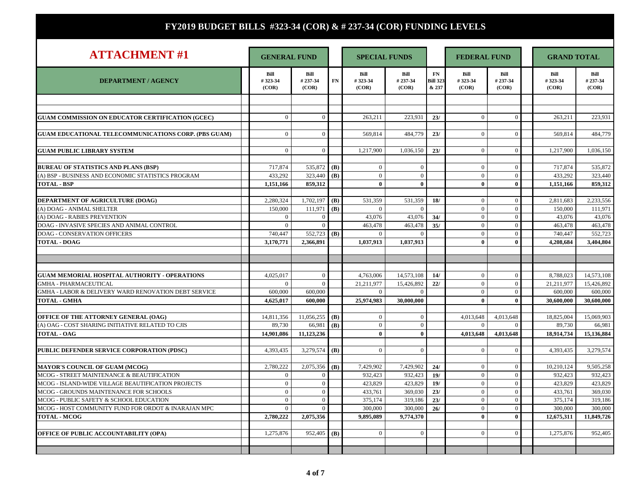Т

| <b>ATTACHMENT#1</b>                                         | <b>GENERAL FUND</b>      |                          |     | <b>SPECIAL FUNDS</b>     |                          |                                | <b>FEDERAL FUND</b>      |                          | <b>GRAND TOTAL</b>       |                          |
|-------------------------------------------------------------|--------------------------|--------------------------|-----|--------------------------|--------------------------|--------------------------------|--------------------------|--------------------------|--------------------------|--------------------------|
| <b>DEPARTMENT / AGENCY</b>                                  | Bill<br>#323-34<br>(COR) | Bill<br>#237-34<br>(COR) | FN  | Bill<br>#323-34<br>(COR) | Bill<br>#237-34<br>(COR) | FN<br><b>Bill 323</b><br>& 237 | Bill<br>#323-34<br>(COR) | Bill<br>#237-34<br>(COR) | Bill<br>#323-34<br>(COR) | Bill<br>#237-34<br>(COR) |
|                                                             |                          |                          |     |                          |                          |                                |                          |                          |                          |                          |
| <b>GUAM COMMISSION ON EDUCATOR CERTIFICATION (GCEC)</b>     | $\overline{0}$           | $\mathbf{0}$             |     | 263,211                  | 223,931                  | 23/                            | $\overline{0}$           | $\mathbf{0}$             | 263,211                  | 223,931                  |
| <b>GUAM EDUCATIONAL TELECOMMUNICATIONS CORP. (PBS GUAM)</b> | $\overline{0}$           | $\mathbf{0}$             |     | 569,814                  | 484,779                  | 23/                            | $\Omega$                 | $\mathbf{0}$             | 569.814                  | 484,779                  |
| <b>GUAM PUBLIC LIBRARY SYSTEM</b>                           | $\overline{0}$           | $\Omega$                 |     | 1,217,900                | 1.036.150                | 23/                            | $\Omega$                 | $\mathbf{0}$             | 1.217.900                | 1.036.150                |
|                                                             |                          |                          |     |                          |                          |                                |                          |                          |                          |                          |
| <b>BUREAU OF STATISTICS AND PLANS (BSP)</b>                 | 717,874                  | 535,872                  | (B) | $\overline{0}$           | $\theta$                 |                                | $\Omega$                 | $\Omega$                 | 717,874                  | 535,872                  |
| (A) BSP - BUSINESS AND ECONOMIC STATISTICS PROGRAM          | 433,292                  | 323,440                  | (B) | $\overline{0}$           | $\mathbf{0}$             |                                | $\mathbf{0}$             | $\overline{0}$           | 433,292                  | 323,440                  |
| <b>TOTAL - BSP</b>                                          | 1,151,166                | 859,312                  |     | $\bf{0}$                 | $\mathbf{0}$             |                                | $\mathbf{0}$             | $\mathbf{0}$             | 1,151,166                | 859,312                  |
| DEPARTMENT OF AGRICULTURE (DOAG)                            | 2,280,324                | 1,702,197                | (B) | 531,359                  | 531,359                  | 18/                            | $\theta$                 | $\mathbf{0}$             | 2,811,683                | 2,233,556                |
| (A) DOAG - ANIMAL SHELTER                                   | 150,000                  | 111,971                  | (B) | $\overline{0}$           | $\mathbf{0}$             |                                | $\mathbf{0}$             | $\mathbf{0}$             | 150,000                  | 111,971                  |
| (A) DOAG - RABIES PREVENTION                                | $\overline{0}$           | $\overline{0}$           |     | 43,076                   | 43,076                   | 34/                            | $\overline{0}$           | $\theta$                 | 43,076                   | 43,076                   |
| DOAG - INVASIVE SPECIES AND ANIMAL CONTROL                  | $\overline{0}$           | $\Omega$                 |     | 463,478                  | 463,478                  | 35/                            | $\mathbf{0}$             | $\mathbf{0}$             | 463,478                  | 463,478                  |
| <b>DOAG - CONSERVATION OFFICERS</b>                         | 740,447                  | 552,723 (B)              |     | $\overline{0}$           | $\overline{0}$           |                                | $\overline{0}$           | $\mathbf{0}$             | 740,447                  | 552,723                  |
| <b>TOTAL - DOAG</b>                                         | 3,170,771                | 2.366,891                |     | 1,037,913                | 1,037,913                |                                | $\mathbf{0}$             | $\mathbf{0}$             | 4.208.684                | 3,404,804                |
|                                                             |                          |                          |     |                          |                          |                                |                          |                          |                          |                          |
|                                                             |                          |                          |     |                          |                          |                                |                          |                          |                          |                          |
| <b>GUAM MEMORIAL HOSPITAL AUTHORITY - OPERATIONS</b>        | 4,025,017                | $\overline{0}$           |     | 4,763,006                | 14,573,108               | 14/                            | $\overline{0}$           | $\mathbf{0}$             | 8,788,023                | 14,573,108               |
| <b>GMHA - PHARMACEUTICAL</b>                                | $\Omega$                 | $\Omega$                 |     | 21.211.977               | 15.426.892               | 221                            | $\overline{0}$           | $\overline{0}$           | 21.211.977               | 15.426.892               |
| GMHA - LABOR & DELIVERY WARD RENOVATION DEBT SERVICE        | 600,000                  | 600,000                  |     | $\Omega$                 | $\Omega$                 |                                | $\overline{0}$           | $\mathbf{0}$             | 600,000                  | 600,000                  |
| <b>TOTAL - GMHA</b>                                         | 4,625,017                | 600.000                  |     | 25,974,983               | 30,000,000               |                                | $\bf{0}$                 | $\bf{0}$                 | 30,600,000               | 30,600,000               |
|                                                             |                          |                          |     |                          |                          |                                |                          |                          |                          |                          |
| OFFICE OF THE ATTORNEY GENERAL (OAG)                        | 14,811,356               | 11,056,255               | (B) | $\overline{0}$           | $\overline{0}$           |                                | 4,013,648                | 4,013,648                | 18,825,004               | 15,069,903               |
| (A) OAG - COST SHARING INITIATIVE RELATED TO CJIS           | 89,730                   | 66,981                   | (B) | $\overline{0}$           | $\overline{0}$           |                                | $\Omega$                 | $\Omega$                 | 89,730                   | 66,981                   |
| <b>TOTAL - OAG</b>                                          | 14,901,086               | 11,123,236               |     | $\mathbf{0}$             | $\mathbf{0}$             |                                | 4,013,648                | 4,013,648                | 18,914,734               | 15,136,884               |
|                                                             |                          |                          |     | $\theta$                 | $\theta$                 |                                | $\Omega$                 | $\theta$                 |                          |                          |
| PUBLIC DEFENDER SERVICE CORPORATION (PDSC)                  | 4,393,435                | 3,279,574                | (B) |                          |                          |                                |                          |                          | 4,393,435                | 3,279,574                |
| <b>MAYOR'S COUNCIL OF GUAM (MCOG)</b>                       | 2,780,222                | 2,075,356                | (B) | 7,429,902                | 7,429,902                | 24/                            | $\overline{0}$           | $\mathbf{0}$             | 10,210,124               | 9,505,258                |
| MCOG - STREET MAINTENANCE & BEAUTIFICATION                  | $\overline{0}$           | $\overline{0}$           |     | 932,423                  | 932,423                  | 19/                            | $\overline{0}$           | $\overline{0}$           | 932,423                  | 932,423                  |
| MCOG - ISLAND-WIDE VILLAGE BEAUTIFICATION PROJECTS          | $\overline{0}$           | $\overline{0}$           |     | 423,829                  | 423,829                  | 19/                            | $\overline{0}$           | $\overline{0}$           | 423,829                  | 423,829                  |
| MCOG - GROUNDS MAINTENANCE FOR SCHOOLS                      | $\mathbf{0}$             | $\mathbf{0}$             |     | 433,761                  | 369,030                  | 23/                            | $\overline{0}$           | $\boldsymbol{0}$         | 433,761                  | 369,030                  |
| MCOG - PUBLIC SAFETY & SCHOOL EDUCATION                     | $\overline{0}$           | $\overline{0}$           |     | 375,174                  | 319,186                  | 23/                            | $\theta$                 | $\overline{0}$           | 375,174                  | 319,186                  |
| MCOG - HOST COMMUNITY FUND FOR ORDOT & INARAJAN MPC         | $\overline{0}$           | $\overline{0}$           |     | 300,000                  | 300,000                  | 26/                            | $\overline{0}$           | $\boldsymbol{0}$         | 300,000                  | 300,000                  |
| <b>TOTAL - MCOG</b>                                         | 2,780,222                | 2,075,356                |     | 9,895,089                | 9,774,370                |                                | $\mathbf{0}$             | $\mathbf{0}$             | 12,675,311               | 11,849,726               |
|                                                             |                          |                          |     |                          |                          |                                |                          |                          |                          |                          |
| <b>OFFICE OF PUBLIC ACCOUNTABILITY (OPA)</b>                | 1,275,876                | 952,405                  | (B) | $\mathbf{0}$             | $\mathbf{0}$             |                                | $\Omega$                 | $\mathbf{0}$             | 1,275,876                | 952,405                  |
|                                                             |                          |                          |     |                          |                          |                                |                          |                          |                          |                          |
|                                                             |                          |                          |     |                          |                          |                                |                          |                          |                          |                          |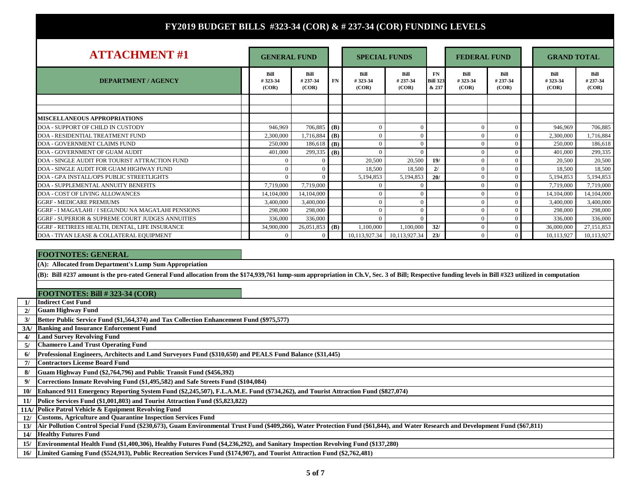| <b>ATTACHMENT#1</b>                                  |                          | <b>GENERAL FUND</b>      |     | <b>SPECIAL FUNDS</b>     |                          |                                 | <b>FEDERAL FUND</b>      |                          |  | <b>GRAND TOTAL</b>              |                          |
|------------------------------------------------------|--------------------------|--------------------------|-----|--------------------------|--------------------------|---------------------------------|--------------------------|--------------------------|--|---------------------------------|--------------------------|
| <b>DEPARTMENT / AGENCY</b>                           | Bill<br>#323-34<br>(COR) | Bill<br>#237-34<br>(COR) | FN  | Bill<br>#323-34<br>(COR) | Bill<br>#237-34<br>(COR) | FN.<br><b>Bill 323</b><br>& 237 | Bill<br>#323-34<br>(COR) | Bill<br>#237-34<br>(COR) |  | <b>Bill</b><br>#323-34<br>(COR) | Bill<br>#237-34<br>(COR) |
|                                                      |                          |                          |     |                          |                          |                                 |                          |                          |  |                                 |                          |
| <b>MISCELLANEOUS APPROPRIATIONS</b>                  |                          |                          |     |                          |                          |                                 |                          |                          |  |                                 |                          |
| DOA - SUPPORT OF CHILD IN CUSTODY                    | 946.969                  | 706,885                  | (B) |                          |                          |                                 |                          | $\Omega$                 |  | 946.969                         | 706,885                  |
| <b>DOA - RESIDENTIAL TREATMENT FUND</b>              | 2,300,000                | 1,716,884                | (B) |                          |                          |                                 | $\Omega$                 | $\Omega$                 |  | 2,300,000                       | 1,716,884                |
| DOA - GOVERNMENT CLAIMS FUND                         | 250,000                  | 186.618                  | (B) |                          |                          |                                 |                          | $\Omega$                 |  | 250,000                         | 186,618                  |
| DOA - GOVERNMENT OF GUAM AUDIT                       | 401.000                  | 299,335 (B)              |     |                          |                          |                                 |                          | $\Omega$                 |  | 401,000                         | 299,335                  |
| DOA - SINGLE AUDIT FOR TOURIST ATTRACTION FUND       |                          | $\Omega$                 |     | 20,500                   | 20,500                   | 19/                             | $\Omega$                 | $\Omega$                 |  | 20,500                          | 20,500                   |
| DOA - SINGLE AUDIT FOR GUAM HIGHWAY FUND             |                          | $\Omega$                 |     | 18.500                   | 18,500                   | 2l                              |                          | $\Omega$                 |  | 18.500                          | 18,500                   |
| <b>DOA - GPA INSTALL/OPS PUBLIC STREETLIGHTS</b>     |                          | $\Omega$                 |     | 5.194.853                | 5,194,853                | 20/                             |                          | $\Omega$                 |  | 5.194.853                       | 5,194,853                |
| <b>DOA - SUPPLEMENTAL ANNUITY BENEFITS</b>           | 7.719.000                | 7,719,000                |     |                          |                          |                                 |                          |                          |  | 7.719.000                       | 7,719,000                |
| DOA - COST OF LIVING ALLOWANCES                      | 14.104.000               | 14.104.000               |     |                          |                          |                                 |                          | $\Omega$                 |  | 14.104.000                      | 14,104,000               |
| <b>GGRF - MEDICARE PREMIUMS</b>                      | 3,400,000                | 3,400,000                |     |                          |                          |                                 |                          | $\Omega$                 |  | 3,400,000                       | 3,400,000                |
| GGRF - I MAGA'LAHI / I SEGUNDU NA MAGA'LAHI PENSIONS | 298,000                  | 298,000                  |     |                          |                          |                                 | $\Omega$                 | $\Omega$                 |  | 298,000                         | 298,000                  |
| GGRF - SUPERIOR & SUPREME COURT JUDGES ANNUITIES     | 336,000                  | 336,000                  |     |                          |                          |                                 | $\Omega$                 | $\Omega$                 |  | 336,000                         | 336,000                  |
| GGRF - RETIREES HEALTH, DENTAL, LIFE INSURANCE       | 34,900,000               | 26,051,853               | (B) | 1.100.000                | 1,100,000                | 32/                             | $\Omega$                 | $\Omega$                 |  | 36,000,000                      | 27,151,853               |
| DOA - TIYAN LEASE & COLLATERAL EQUIPMENT             |                          | $\Omega$                 |     | 10,113,927.34            | 10,113,927.34            | 23/                             | $\Omega$                 | $\Omega$                 |  | 10,113,927                      | 10,113,927               |

#### **FOOTNOTES: GENERAL**

**(A): Allocated from Department's Lump Sum Appropriation**

**(B): Bill #237 amount is the pro-rated General Fund allocation from the \$174,939,761 lump-sum appropriation in Ch.V, Sec. 3 of Bill; Respective funding levels in Bill #323 utilized in computation**

#### **FOOTNOTES: Bill # 323-34 (COR)**

**1/Indirect Cost Fund**

- **2/Guam Highway Fund**
- **3/Better Public Service Fund (\$1,564,374) and Tax Collection Enhancement Fund (\$975,577)**
- **3A/Banking and Insurance Enforcement Fund**
- **4/Land Survey Revolving Fund**
- **5/Chamorro Land Trust Operating Fund**
- **6/Professional Engineers, Architects and Land Surveyors Fund (\$310,650) and PEALS Fund Balance (\$31,445)**
- **7/Contractors License Board Fund**
- **8/Guam Highway Fund (\$2,764,796) and Public Transit Fund (\$456,392)**
- **9/Corrections Inmate Revolving Fund (\$1,495,582) and Safe Streets Fund (\$104,084)**
- **10/ Enhanced 911 Emergency Reporting System Fund (\$2,245,507), F.L.A.M.E. Fund (\$734,262), and Tourist Attraction Fund (\$827,074)**
- **11/Police Services Fund (\$1,001,803) and Tourist Attraction Fund (\$5,823,822)**
- **11A/ Police Patrol Vehicle & Equipment Revolving Fund**
- **12/ Customs, Agriculture and Quarantine Inspection Services Fund**
- **13/Air Pollution Control Special Fund (\$230,673), Guam Environmental Trust Fund (\$409,266), Water Protection Fund (\$61,844), and Water Research and Development Fund (\$67,811)**
- **14/Healthy Futures Fund**
- **15/Environmental Health Fund (\$1,400,306), Healthy Futures Fund (\$4,236,292), and Sanitary Inspection Revolving Fund (\$137,280)**
- **16/Limited Gaming Fund (\$524,913), Public Recreation Services Fund (\$174,907), and Tourist Attraction Fund (\$2,762,481)**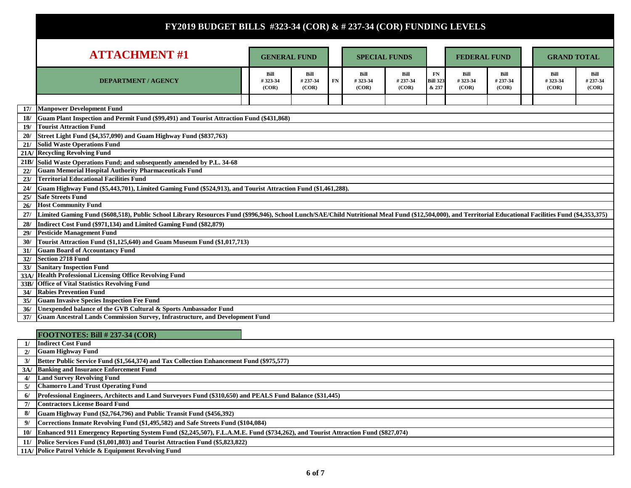|            | <b>ATTACHMENT#1</b>                                                                                                                                                                                       | <b>GENERAL FUND</b>      |                          |    | <b>SPECIAL FUNDS</b>     |                          |                                |                          | <b>FEDERAL FUND</b>      |  | <b>GRAND TOTAL</b>       |                          |  |
|------------|-----------------------------------------------------------------------------------------------------------------------------------------------------------------------------------------------------------|--------------------------|--------------------------|----|--------------------------|--------------------------|--------------------------------|--------------------------|--------------------------|--|--------------------------|--------------------------|--|
|            |                                                                                                                                                                                                           |                          |                          |    |                          |                          |                                |                          |                          |  |                          |                          |  |
|            | <b>DEPARTMENT / AGENCY</b>                                                                                                                                                                                | Bill<br>#323-34<br>(COR) | Bill<br>#237-34<br>(COR) | FN | Bill<br>#323-34<br>(COR) | Bill<br>#237-34<br>(COR) | FN<br><b>Bill 323</b><br>& 237 | Bill<br>#323-34<br>(COR) | Bill<br>#237-34<br>(COR) |  | Bill<br>#323-34<br>(COR) | Bill<br>#237-34<br>(COR) |  |
|            |                                                                                                                                                                                                           |                          |                          |    |                          |                          |                                |                          |                          |  |                          |                          |  |
| 17/        | <b>Manpower Development Fund</b>                                                                                                                                                                          |                          |                          |    |                          |                          |                                |                          |                          |  |                          |                          |  |
| 18/        | Guam Plant Inspection and Permit Fund (\$99,491) and Tourist Attraction Fund (\$431,868)                                                                                                                  |                          |                          |    |                          |                          |                                |                          |                          |  |                          |                          |  |
| 19/        | <b>Tourist Attraction Fund</b>                                                                                                                                                                            |                          |                          |    |                          |                          |                                |                          |                          |  |                          |                          |  |
|            | Street Light Fund (\$4,357,090) and Guam Highway Fund (\$837,763)                                                                                                                                         |                          |                          |    |                          |                          |                                |                          |                          |  |                          |                          |  |
| 21/        | <b>Solid Waste Operations Fund</b>                                                                                                                                                                        |                          |                          |    |                          |                          |                                |                          |                          |  |                          |                          |  |
|            | 21A/ Recycling Revolving Fund                                                                                                                                                                             |                          |                          |    |                          |                          |                                |                          |                          |  |                          |                          |  |
|            | 21B/ Solid Waste Operations Fund; and subsequently amended by P.L. 34-68                                                                                                                                  |                          |                          |    |                          |                          |                                |                          |                          |  |                          |                          |  |
| 22/        | <b>Guam Memorial Hospital Authority Pharmaceuticals Fund</b>                                                                                                                                              |                          |                          |    |                          |                          |                                |                          |                          |  |                          |                          |  |
| 23/        | <b>Territorial Educational Facilities Fund</b>                                                                                                                                                            |                          |                          |    |                          |                          |                                |                          |                          |  |                          |                          |  |
| 24/        | Guam Highway Fund (\$5,443,701), Limited Gaming Fund (\$524,913), and Tourist Attraction Fund (\$1,461,288).                                                                                              |                          |                          |    |                          |                          |                                |                          |                          |  |                          |                          |  |
| 25/        | <b>Safe Streets Fund</b>                                                                                                                                                                                  |                          |                          |    |                          |                          |                                |                          |                          |  |                          |                          |  |
| 26/        | <b>Host Community Fund</b>                                                                                                                                                                                |                          |                          |    |                          |                          |                                |                          |                          |  |                          |                          |  |
| 27/        | Limited Gaming Fund (\$608,518), Public School Library Resources Fund (\$996,946), School Lunch/SAE/Child Nutritional Meal Fund (\$12,504,000), and Territorial Educational Facilities Fund (\$4,353,375) |                          |                          |    |                          |                          |                                |                          |                          |  |                          |                          |  |
| 28/        | Indirect Cost Fund (\$971,134) and Limited Gaming Fund (\$82,879)                                                                                                                                         |                          |                          |    |                          |                          |                                |                          |                          |  |                          |                          |  |
| 29/        | <b>Pesticide Management Fund</b>                                                                                                                                                                          |                          |                          |    |                          |                          |                                |                          |                          |  |                          |                          |  |
| 30/        | Tourist Attraction Fund (\$1,125,640) and Guam Museum Fund (\$1,017,713)                                                                                                                                  |                          |                          |    |                          |                          |                                |                          |                          |  |                          |                          |  |
| 31/        | <b>Guam Board of Accountancy Fund</b>                                                                                                                                                                     |                          |                          |    |                          |                          |                                |                          |                          |  |                          |                          |  |
| 32/        | Section 2718 Fund                                                                                                                                                                                         |                          |                          |    |                          |                          |                                |                          |                          |  |                          |                          |  |
| 33/        | <b>Sanitary Inspection Fund</b>                                                                                                                                                                           |                          |                          |    |                          |                          |                                |                          |                          |  |                          |                          |  |
|            | 33A/ Health Professional Licensing Office Revolving Fund                                                                                                                                                  |                          |                          |    |                          |                          |                                |                          |                          |  |                          |                          |  |
|            | 33B/ Office of Vital Statistics Revolving Fund<br><b>Rabies Prevention Fund</b>                                                                                                                           |                          |                          |    |                          |                          |                                |                          |                          |  |                          |                          |  |
| 34/<br>35/ | <b>Guam Invasive Species Inspection Fee Fund</b>                                                                                                                                                          |                          |                          |    |                          |                          |                                |                          |                          |  |                          |                          |  |
| 36/        | Unexpended balance of the GVB Cultural & Sports Ambassador Fund                                                                                                                                           |                          |                          |    |                          |                          |                                |                          |                          |  |                          |                          |  |
| 37/        | <b>Guam Ancestral Lands Commission Survey, Infrastructure, and Development Fund</b>                                                                                                                       |                          |                          |    |                          |                          |                                |                          |                          |  |                          |                          |  |
|            |                                                                                                                                                                                                           |                          |                          |    |                          |                          |                                |                          |                          |  |                          |                          |  |

|    | FOOTNOTES: Bill $\# 237-34$ (COR)                                                                                                    |
|----|--------------------------------------------------------------------------------------------------------------------------------------|
|    | <b>Indirect Cost Fund</b>                                                                                                            |
| 2l | <b>Guam Highway Fund</b>                                                                                                             |
| 3/ | Better Public Service Fund (\$1,564,374) and Tax Collection Enhancement Fund (\$975,577)                                             |
|    | 3A/ Banking and Insurance Enforcement Fund                                                                                           |
| 4/ | <b>Land Survey Revolving Fund</b>                                                                                                    |
|    | 5/ Chamorro Land Trust Operating Fund                                                                                                |
| 6/ | Professional Engineers, Architects and Land Surveyors Fund (\$310,650) and PEALS Fund Balance (\$31,445)                             |
|    | 7/ Contractors License Board Fund                                                                                                    |
| 8/ | Guam Highway Fund (\$2,764,796) and Public Transit Fund (\$456,392)                                                                  |
|    | Corrections Inmate Revolving Fund (\$1,495,582) and Safe Streets Fund (\$104,084)                                                    |
|    | 10/ Enhanced 911 Emergency Reporting System Fund (\$2,245,507), F.L.A.M.E. Fund (\$734,262), and Tourist Attraction Fund (\$827,074) |
|    | 11/ Police Services Fund (\$1,001,803) and Tourist Attraction Fund (\$5,823,822)                                                     |
|    | 11A/ Police Patrol Vehicle & Equipment Revolving Fund                                                                                |